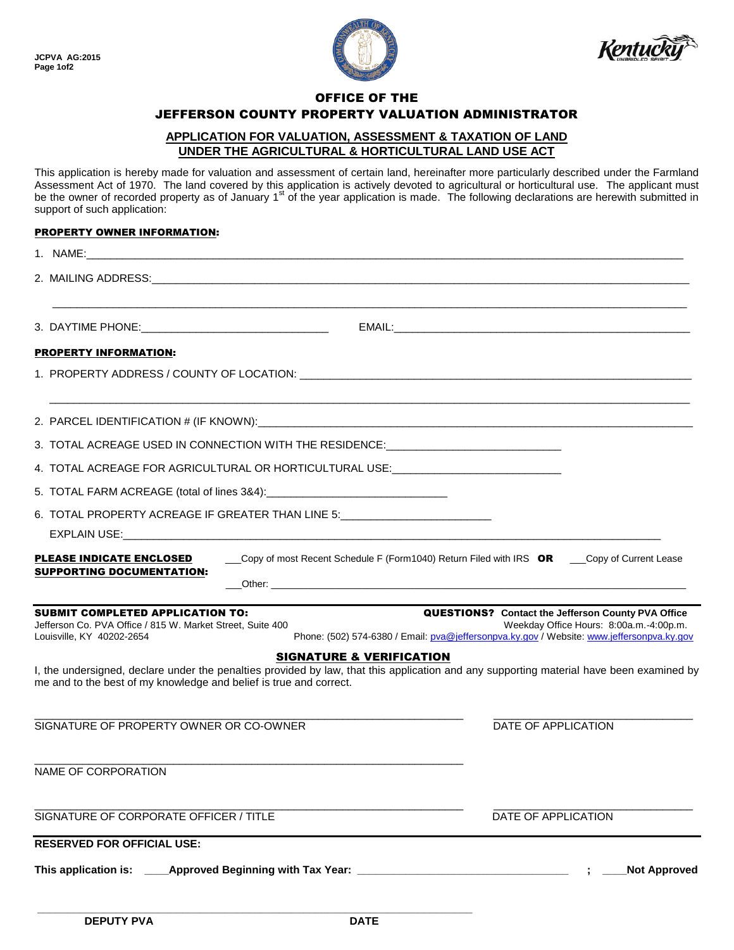



# OFFICE OF THE

## JEFFERSON COUNTY PROPERTY VALUATION ADMINISTRATOR

#### **APPLICATION FOR VALUATION, ASSESSMENT & TAXATION OF LAND UNDER THE AGRICULTURAL & HORTICULTURAL LAND USE ACT**

This application is hereby made for valuation and assessment of certain land, hereinafter more particularly described under the Farmland Assessment Act of 1970. The land covered by this application is actively devoted to agricultural or horticultural use. The applicant must be the owner of recorded property as of January 1<sup>st</sup> of the year application is made. The following declarations are herewith submitted in support of such application:

### PROPERTY OWNER INFORMATION:

| <b>PROPERTY INFORMATION:</b>                                                                                                                                                                                                                          |                                                                                                                                                                                                   |
|-------------------------------------------------------------------------------------------------------------------------------------------------------------------------------------------------------------------------------------------------------|---------------------------------------------------------------------------------------------------------------------------------------------------------------------------------------------------|
|                                                                                                                                                                                                                                                       |                                                                                                                                                                                                   |
|                                                                                                                                                                                                                                                       |                                                                                                                                                                                                   |
| 3. TOTAL ACREAGE USED IN CONNECTION WITH THE RESIDENCE: ________________________                                                                                                                                                                      |                                                                                                                                                                                                   |
| 4. TOTAL ACREAGE FOR AGRICULTURAL OR HORTICULTURAL USE:_________________________                                                                                                                                                                      |                                                                                                                                                                                                   |
|                                                                                                                                                                                                                                                       |                                                                                                                                                                                                   |
| 6. TOTAL PROPERTY ACREAGE IF GREATER THAN LINE 5: ______________________________                                                                                                                                                                      |                                                                                                                                                                                                   |
| EXPLAIN USE: New York of the Contract of the Contract of the Contract of the Contract of the Contract of the Contract of the Contract of the Contract of the Contract of the Contract of the Contract of the Contract of the C                        |                                                                                                                                                                                                   |
| <b>PLEASE INDICATE ENCLOSED</b><br><b>SUPPORTING DOCUMENTATION:</b>                                                                                                                                                                                   | Copy of most Recent Schedule F (Form1040) Return Filed with IRS OR ___Copy of Current Lease                                                                                                       |
| <b>SUBMIT COMPLETED APPLICATION TO:</b><br>Jefferson Co. PVA Office / 815 W. Market Street, Suite 400<br>Louisville, KY 40202-2654                                                                                                                    | <b>QUESTIONS?</b> Contact the Jefferson County PVA Office<br>Weekday Office Hours: 8:00a.m.-4:00p.m.<br>Phone: (502) 574-6380 / Email: pva@jeffersonpva.ky.gov / Website: www.jeffersonpva.ky.gov |
| <b>SIGNATURE &amp; VERIFICATION</b><br>I, the undersigned, declare under the penalties provided by law, that this application and any supporting material have been examined by<br>me and to the best of my knowledge and belief is true and correct. |                                                                                                                                                                                                   |
| SIGNATURE OF PROPERTY OWNER OR CO-OWNER                                                                                                                                                                                                               | DATE OF APPLICATION                                                                                                                                                                               |
| NAME OF CORPORATION                                                                                                                                                                                                                                   |                                                                                                                                                                                                   |
| SIGNATURE OF CORPORATE OFFICER / TITLE                                                                                                                                                                                                                | DATE OF APPLICATION                                                                                                                                                                               |
| <b>RESERVED FOR OFFICIAL USE:</b>                                                                                                                                                                                                                     |                                                                                                                                                                                                   |
|                                                                                                                                                                                                                                                       | <b>Not Approved</b>                                                                                                                                                                               |

**\_\_\_\_\_\_\_\_\_\_\_\_\_\_\_\_\_\_\_\_\_\_\_\_\_\_\_\_\_\_\_\_\_\_\_\_\_\_\_\_\_\_\_\_\_\_\_\_\_\_\_\_\_\_\_\_\_\_\_\_\_\_\_\_\_\_\_\_\_\_\_\_**